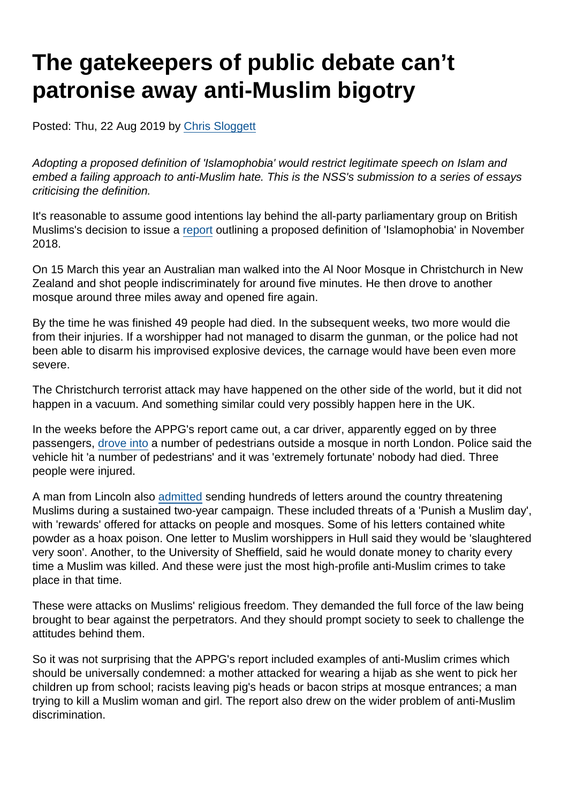# The gatekeepers of public debate can't patronise away anti-Muslim bigotry

Posted: Thu, 22 Aug 2019 by [Chris Sloggett](https://www.secularism.org.uk/opinion/authors/968)

Adopting a proposed definition of 'Islamophobia' would restrict legitimate speech on Islam and embed a failing approach to anti-Muslim hate. This is the NSS's submission to a series of essays criticising the definition.

It's reasonable to assume good intentions lay behind the all-party parliamentary group on British Muslims's decision to issue a [report](https://static1.squarespace.com/static/599c3d2febbd1a90cffdd8a9/t/5bfd1ea3352f531a6170ceee/1543315109493/Islamophobia+Defined.pdf) outlining a proposed definition of 'Islamophobia' in November 2018.

On 15 March this year an Australian man walked into the Al Noor Mosque in Christchurch in New Zealand and shot people indiscriminately for around five minutes. He then drove to another mosque around three miles away and opened fire again.

By the time he was finished 49 people had died. In the subsequent weeks, two more would die from their injuries. If a worshipper had not managed to disarm the gunman, or the police had not been able to disarm his improvised explosive devices, the carnage would have been even more severe.

The Christchurch terrorist attack may have happened on the other side of the world, but it did not happen in a vacuum. And something similar could very possibly happen here in the UK.

In the weeks before the APPG's report came out, a car driver, apparently egged on by three passengers, [drove into](https://www.telegraph.co.uk/news/2018/09/19/cricklewood-mosque-hate-crime-crash-three-hurt-car-swerves-crowd/) a number of pedestrians outside a mosque in north London. Police said the vehicle hit 'a number of pedestrians' and it was 'extremely fortunate' nobody had died. Three people were injured.

A man from Lincoln also [admitted](https://www.bbc.co.uk/news/uk-england-45838506) sending hundreds of letters around the country threatening Muslims during a sustained two-year campaign. These included threats of a 'Punish a Muslim day', with 'rewards' offered for attacks on people and mosques. Some of his letters contained white powder as a hoax poison. One letter to Muslim worshippers in Hull said they would be 'slaughtered very soon'. Another, to the University of Sheffield, said he would donate money to charity every time a Muslim was killed. And these were just the most high-profile anti-Muslim crimes to take place in that time.

These were attacks on Muslims' religious freedom. They demanded the full force of the law being brought to bear against the perpetrators. And they should prompt society to seek to challenge the attitudes behind them.

So it was not surprising that the APPG's report included examples of anti-Muslim crimes which should be universally condemned: a mother attacked for wearing a hijab as she went to pick her children up from school; racists leaving pig's heads or bacon strips at mosque entrances; a man trying to kill a Muslim woman and girl. The report also drew on the wider problem of anti-Muslim discrimination.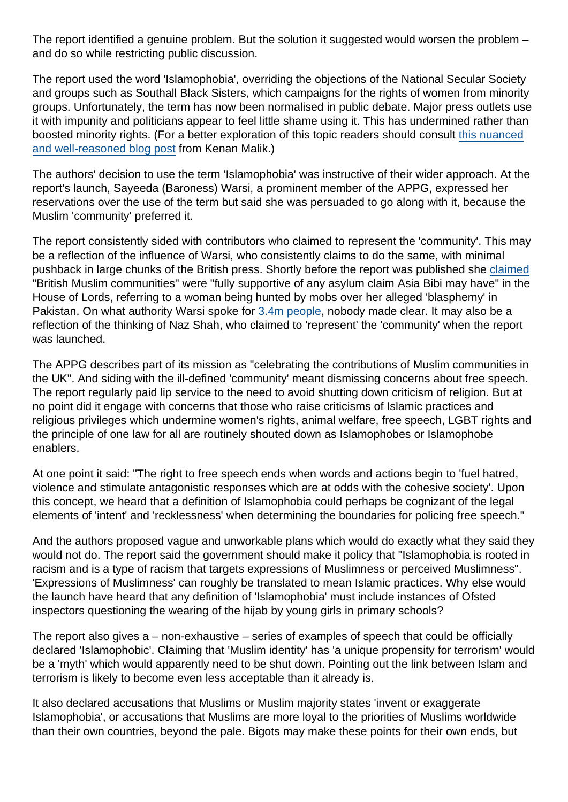The report identified a genuine problem. But the solution it suggested would worsen the problem – and do so while restricting public discussion.

The report used the word 'Islamophobia', overriding the objections of the National Secular Society and groups such as Southall Black Sisters, which campaigns for the rights of women from minority groups. Unfortunately, the term has now been normalised in public debate. Major press outlets use it with impunity and politicians appear to feel little shame using it. This has undermined rather than boosted minority rights. (For a better exploration of this topic readers should consult [this nuanced](https://kenanmalik.com/2017/11/15/rethinking-the-challenge-of-anti-muslim-bigotry/) [and well-reasoned blog post](https://kenanmalik.com/2017/11/15/rethinking-the-challenge-of-anti-muslim-bigotry/) from Kenan Malik.)

The authors' decision to use the term 'Islamophobia' was instructive of their wider approach. At the report's launch, Sayeeda (Baroness) Warsi, a prominent member of the APPG, expressed her reservations over the use of the term but said she was persuaded to go along with it, because the Muslim 'community' preferred it.

The report consistently sided with contributors who claimed to represent the 'community'. This may be a reflection of the influence of Warsi, who consistently claims to do the same, with minimal pushback in large chunks of the British press. Shortly before the report was published she [claimed](https://hansard.parliament.uk/Lords/2018-11-20/debates/EC780CC3-1DC2- 44FD-B1BC-0384CD1377F3/AsiaBibi) "British Muslim communities" were "fully supportive of any asylum claim Asia Bibi may have" in the House of Lords, referring to a woman being hunted by mobs over her alleged 'blasphemy' in Pakistan. On what authority Warsi spoke for [3.4m people,](https://www.ons.gov.uk/aboutus/transparencyandgovernance/ freedomofinformationfoi/muslimpopulationintheuk/) nobody made clear. It may also be a reflection of the thinking of Naz Shah, who claimed to 'represent' the 'community' when the report was launched.

The APPG describes part of its mission as "celebrating the contributions of Muslim communities in the UK". And siding with the ill-defined 'community' meant dismissing concerns about free speech. The report regularly paid lip service to the need to avoid shutting down criticism of religion. But at no point did it engage with concerns that those who raise criticisms of Islamic practices and religious privileges which undermine women's rights, animal welfare, free speech, LGBT rights and the principle of one law for all are routinely shouted down as Islamophobes or Islamophobe enablers.

At one point it said: "The right to free speech ends when words and actions begin to 'fuel hatred, violence and stimulate antagonistic responses which are at odds with the cohesive society'. Upon this concept, we heard that a definition of Islamophobia could perhaps be cognizant of the legal elements of 'intent' and 'recklessness' when determining the boundaries for policing free speech."

And the authors proposed vague and unworkable plans which would do exactly what they said they would not do. The report said the government should make it policy that "Islamophobia is rooted in racism and is a type of racism that targets expressions of Muslimness or perceived Muslimness". 'Expressions of Muslimness' can roughly be translated to mean Islamic practices. Why else would the launch have heard that any definition of 'Islamophobia' must include instances of Ofsted inspectors questioning the wearing of the hijab by young girls in primary schools?

The report also gives a – non-exhaustive – series of examples of speech that could be officially declared 'Islamophobic'. Claiming that 'Muslim identity' has 'a unique propensity for terrorism' would be a 'myth' which would apparently need to be shut down. Pointing out the link between Islam and terrorism is likely to become even less acceptable than it already is.

It also declared accusations that Muslims or Muslim majority states 'invent or exaggerate Islamophobia', or accusations that Muslims are more loyal to the priorities of Muslims worldwide than their own countries, beyond the pale. Bigots may make these points for their own ends, but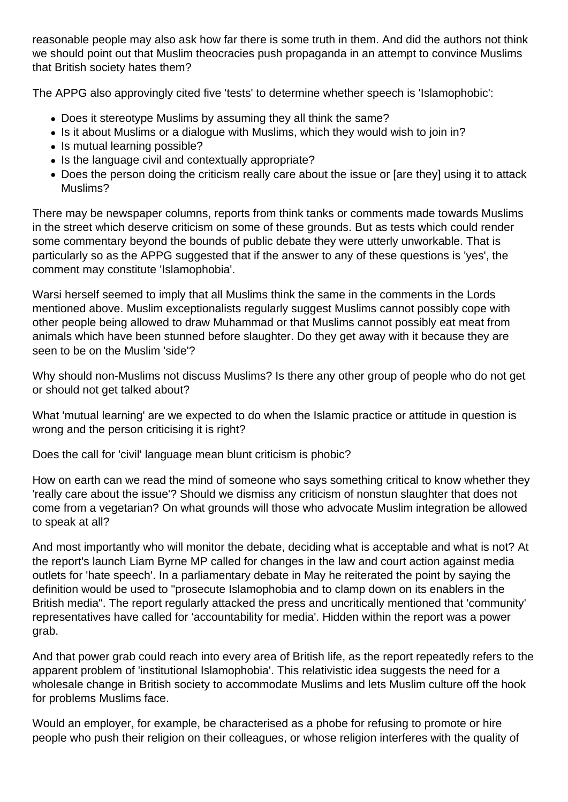reasonable people may also ask how far there is some truth in them. And did the authors not think we should point out that Muslim theocracies push propaganda in an attempt to convince Muslims that British society hates them?

The APPG also approvingly cited five 'tests' to determine whether speech is 'Islamophobic':

- Does it stereotype Muslims by assuming they all think the same?
- Is it about Muslims or a dialogue with Muslims, which they would wish to join in?
- Is mutual learning possible?
- Is the language civil and contextually appropriate?
- Does the person doing the criticism really care about the issue or lare theyl using it to attack Muslims?

There may be newspaper columns, reports from think tanks or comments made towards Muslims in the street which deserve criticism on some of these grounds. But as tests which could render some commentary beyond the bounds of public debate they were utterly unworkable. That is particularly so as the APPG suggested that if the answer to any of these questions is 'yes', the comment may constitute 'Islamophobia'.

Warsi herself seemed to imply that all Muslims think the same in the comments in the Lords mentioned above. Muslim exceptionalists regularly suggest Muslims cannot possibly cope with other people being allowed to draw Muhammad or that Muslims cannot possibly eat meat from animals which have been stunned before slaughter. Do they get away with it because they are seen to be on the Muslim 'side'?

Why should non-Muslims not discuss Muslims? Is there any other group of people who do not get or should not get talked about?

What 'mutual learning' are we expected to do when the Islamic practice or attitude in question is wrong and the person criticising it is right?

Does the call for 'civil' language mean blunt criticism is phobic?

How on earth can we read the mind of someone who says something critical to know whether they 'really care about the issue'? Should we dismiss any criticism of nonstun slaughter that does not come from a vegetarian? On what grounds will those who advocate Muslim integration be allowed to speak at all?

And most importantly who will monitor the debate, deciding what is acceptable and what is not? At the report's launch Liam Byrne MP called for changes in the law and court action against media outlets for 'hate speech'. In a parliamentary debate in May he reiterated the point by saying the definition would be used to "prosecute Islamophobia and to clamp down on its enablers in the British media". The report regularly attacked the press and uncritically mentioned that 'community' representatives have called for 'accountability for media'. Hidden within the report was a power grab.

And that power grab could reach into every area of British life, as the report repeatedly refers to the apparent problem of 'institutional Islamophobia'. This relativistic idea suggests the need for a wholesale change in British society to accommodate Muslims and lets Muslim culture off the hook for problems Muslims face.

Would an employer, for example, be characterised as a phobe for refusing to promote or hire people who push their religion on their colleagues, or whose religion interferes with the quality of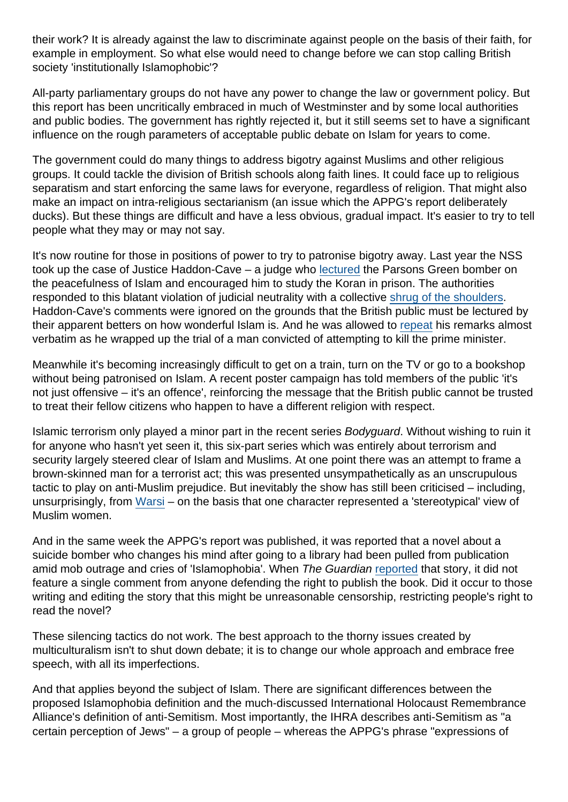their work? It is already against the law to discriminate against people on the basis of their faith, for example in employment. So what else would need to change before we can stop calling British society 'institutionally Islamophobic'?

All-party parliamentary groups do not have any power to change the law or government policy. But this report has been uncritically embraced in much of Westminster and by some local authorities and public bodies. The government has rightly rejected it, but it still seems set to have a significant influence on the rough parameters of acceptable public debate on Islam for years to come.

The government could do many things to address bigotry against Muslims and other religious groups. It could tackle the division of British schools along faith lines. It could face up to religious separatism and start enforcing the same laws for everyone, regardless of religion. That might also make an impact on intra-religious sectarianism (an issue which the APPG's report deliberately ducks). But these things are difficult and have a less obvious, gradual impact. It's easier to try to tell people what they may or may not say.

It's now routine for those in positions of power to try to patronise bigotry away. Last year the NSS took up the case of Justice Haddon-Cave – a judge who [lectured](https://www.secularism.org.uk/news/2018/03/nss-judge-shouldnt-have-interpreted-islam-when-sentencing-bomber/) the Parsons Green bomber on the peacefulness of Islam and encouraged him to study the Koran in prison. The authorities responded to this blatant violation of judicial neutrality with a collective [shrug of the shoulders.](https://www.secularism.org.uk/ news/2018/06/nss-appeals-to-ombudsman-over-judges-remarks-on-islam) Haddon-Cave's comments were ignored on the grounds that the British public must be lectured by their apparent betters on how wonderful Islam is. And he was allowed to [repeat](https://www.secularism.org.uk/ news/2018/09/theology-isnt-secular-courts-business-nss-tells-justice-secretary) his remarks almost verbatim as he wrapped up the trial of a man convicted of attempting to kill the prime minister.

Meanwhile it's becoming increasingly difficult to get on a train, turn on the TV or go to a bookshop without being patronised on Islam. A recent poster campaign has told members of the public 'it's not just offensive – it's an offence', reinforcing the message that the British public cannot be trusted to treat their fellow citizens who happen to have a different religion with respect.

Islamic terrorism only played a minor part in the recent series Bodyguard. Without wishing to ruin it for anyone who hasn't yet seen it, this six-part series which was entirely about terrorism and security largely steered clear of Islam and Muslims. At one point there was an attempt to frame a brown-skinned man for a terrorist act; this was presented unsympathetically as an unscrupulous tactic to play on anti-Muslim prejudice. But inevitably the show has still been criticised – including, unsurprisingly, from [Warsi](https://www.radiotimes.com/news/radio/2018-11-15/baronesswarsi-bodyguard-stereotyped-muslim-women/) – on the basis that one character represented a 'stereotypical' view of Muslim women.

And in the same week the APPG's report was published, it was reported that a novel about a suicide bomber who changes his mind after going to a library had been pulled from publication amid mob outrage and cries of 'Islamophobia'. When The Guardian [reported](https://www.theguardian.com/ books/2018/nov/26/a-suicide-bomber-sits-in-the-library-comic-pulled-protestsjack-gantos-dave-mckean) that story, it did not feature a single comment from anyone defending the right to publish the book. Did it occur to those writing and editing the story that this might be unreasonable censorship, restricting people's right to read the novel?

These silencing tactics do not work. The best approach to the thorny issues created by multiculturalism isn't to shut down debate; it is to change our whole approach and embrace free speech, with all its imperfections.

And that applies beyond the subject of Islam. There are significant differences between the proposed Islamophobia definition and the much-discussed International Holocaust Remembrance Alliance's definition of anti-Semitism. Most importantly, the IHRA describes anti-Semitism as "a certain perception of Jews" – a group of people – whereas the APPG's phrase "expressions of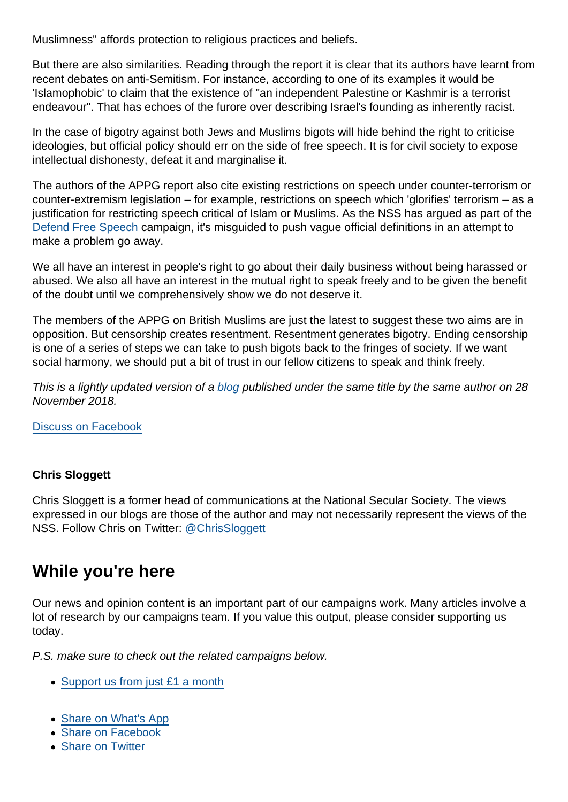Muslimness" affords protection to religious practices and beliefs.

But there are also similarities. Reading through the report it is clear that its authors have learnt from recent debates on anti-Semitism. For instance, according to one of its examples it would be 'Islamophobic' to claim that the existence of "an independent Palestine or Kashmir is a terrorist endeavour". That has echoes of the furore over describing Israel's founding as inherently racist.

In the case of bigotry against both Jews and Muslims bigots will hide behind the right to criticise ideologies, but official policy should err on the side of free speech. It is for civil society to expose intellectual dishonesty, defeat it and marginalise it.

The authors of the APPG report also cite existing restrictions on speech under counter-terrorism or counter-extremism legislation – for example, restrictions on speech which 'glorifies' terrorism – as a justification for restricting speech critical of Islam or Muslims. As the NSS has argued as part of the [Defend Free Speech](https://defendfreespeech.org.uk/) campaign, it's misguided to push vague official definitions in an attempt to make a problem go away.

We all have an interest in people's right to go about their daily business without being harassed or abused. We also all have an interest in the mutual right to speak freely and to be given the benefit of the doubt until we comprehensively show we do not deserve it.

The members of the APPG on British Muslims are just the latest to suggest these two aims are in opposition. But censorship creates resentment. Resentment generates bigotry. Ending censorship is one of a series of steps we can take to push bigots back to the fringes of society. If we want social harmony, we should put a bit of trust in our fellow citizens to speak and think freely.

This is a lightly updated version of a [blog](https://www.secularism.org.uk/opinion/2018/11/the-gatekeepers-of-public-debate-cant-patronise-away-anti-muslim-bigotry/) published under the same title by the same author on 28 November 2018.

[Discuss on Facebook](https://www.facebook.com/NationalSecularSociety/posts/2418498531551817?__xts__[0]=68.ARDTo4P5AXHIQRLVmVkMmboT9-EM9tTuIAQZfJqjldty4zSmvFr-vJWJ85nXAyVNIFRpt-Yk8HWUZhmenvmHIi-MkjUZcdgCNdwszLkZJr8EsaVBMi5hZi5eWguRxagtbA_bz8bk2j7PgXtD_7mOv91EalVYdfne6RxuI722kHII4GKjgvmmO1bREl5z8EWCZyQoBInt1nWXpjt0lslJJmSHXb7pcllB0cixPYwB5-Qdlgfk4uulm1-76ijkigeLL9S88n2Js8lGZ-X8MSVnTZ5zYq6ua4pYqQOK4HiGTcyXJg9Eyt65KonPQHYkQxWaGZnMw74hGkA8DNuJs6TlBuZ_aA&__tn__=-R)

#### Chris Sloggett

Chris Sloggett is a former head of communications at the National Secular Society. The views expressed in our blogs are those of the author and may not necessarily represent the views of the NSS. Follow Chris on Twitter: [@ChrisSloggett](https://twitter.com/ChrisSloggett)

## While you're here

Our news and opinion content is an important part of our campaigns work. Many articles involve a lot of research by our campaigns team. If you value this output, please consider supporting us today.

P.S. make sure to check out the related campaigns below.

- [Support us from just £1 a month](https://www.secularism.org.uk/donate.html)
- [Share on What's App](whatsapp://send?text=http://www.secularism.org.uk/opinion/2019/08/the-gatekeepers-of-public-debate-cant-patronise-away-anti-muslim-bigotry1?format=pdf)
- [Share on Facebook](https://www.facebook.com/sharer/sharer.php?u=http://www.secularism.org.uk/opinion/2019/08/the-gatekeepers-of-public-debate-cant-patronise-away-anti-muslim-bigotry1?format=pdf&t=The+gatekeepers+of+public+debate+can’t+patronise+away+anti-Muslim+bigotry)
- [Share on Twitter](https://twitter.com/intent/tweet?url=http://www.secularism.org.uk/opinion/2019/08/the-gatekeepers-of-public-debate-cant-patronise-away-anti-muslim-bigotry1?format=pdf&text=The+gatekeepers+of+public+debate+can’t+patronise+away+anti-Muslim+bigotry&via=NatSecSoc)